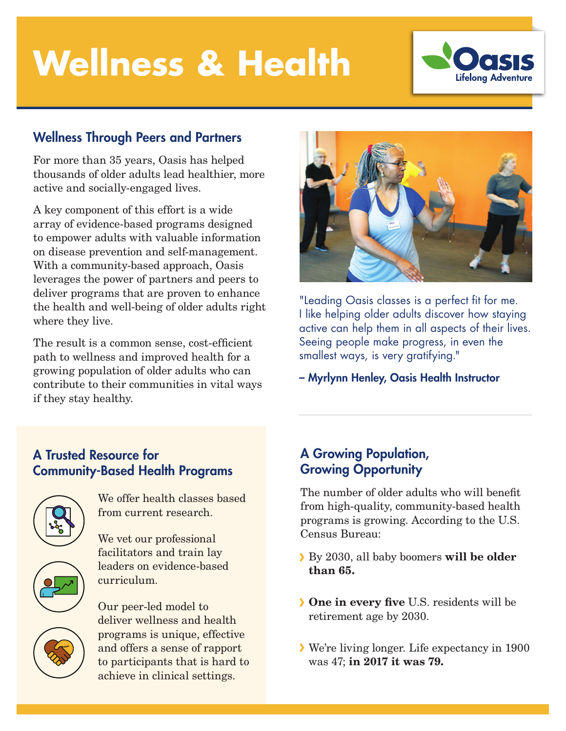# **Wellness & Health**



#### Wellness Through Peers and Partners

For more than 35 years, Oasis has helped thousands of older adults lead healthier, more active and socially-engaged lives.

A key component of this effort is a wide array of evidence-based programs designed to empower adults with valuable information on disease prevention and self-management. With a community-based approach, Oasis leverages the power of partners and peers to deliver programs that are proven to enhance the health and well-being of older adults right where they live.

The result is a common sense, cost-efficient path to wellness and improved health for a growing population of older adults who can contribute to their communities in vital ways if they stay healthy.



"Leading Oasis classes is a perfect fit for me. I like helping older adults discover how staying active can help them in all aspects of their lives. Seeing people make progress, in even the smallest ways, is very gratifying."

– Myrlynn Henley, Oasis Health Instructor

### A Trusted Resource for Community-Based Health Programs



We offer health classes based from current research.

We vet our professional facilitators and train lay leaders on evidence-based curriculum.



Our peer-led model to deliver wellness and health programs is unique, effective and offers a sense of rapport to participants that is hard to achieve in clinical settings.

#### A Growing Population, Growing Opportunity

The number of older adults who will benefit from high-quality, community-based health programs is growing. According to the U.S. Census Bureau:

- By 2030, all baby boomers will be older than 65.
- One in every five U.S. residents will be retirement age by 2030.
- We're living longer. Life expectancy in 1900 was 47; in 2017 it was 79.